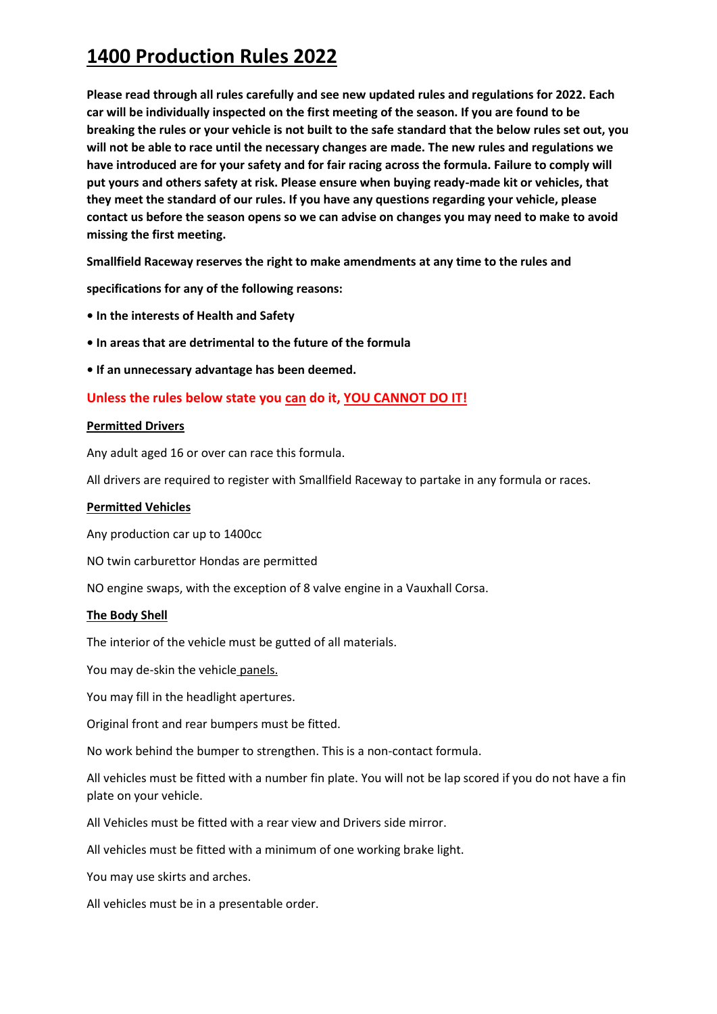**Please read through all rules carefully and see new updated rules and regulations for 2022. Each car will be individually inspected on the first meeting of the season. If you are found to be breaking the rules or your vehicle is not built to the safe standard that the below rules set out, you will not be able to race until the necessary changes are made. The new rules and regulations we have introduced are for your safety and for fair racing across the formula. Failure to comply will put yours and others safety at risk. Please ensure when buying ready-made kit or vehicles, that they meet the standard of our rules. If you have any questions regarding your vehicle, please contact us before the season opens so we can advise on changes you may need to make to avoid missing the first meeting.**

**Smallfield Raceway reserves the right to make amendments at any time to the rules and** 

**specifications for any of the following reasons:** 

- **In the interests of Health and Safety**
- **In areas that are detrimental to the future of the formula**

**• If an unnecessary advantage has been deemed.**

## **Unless the rules below state you can do it, YOU CANNOT DO IT!**

#### **Permitted Drivers**

Any adult aged 16 or over can race this formula.

All drivers are required to register with Smallfield Raceway to partake in any formula or races.

### **Permitted Vehicles**

Any production car up to 1400cc

NO twin carburettor Hondas are permitted

NO engine swaps, with the exception of 8 valve engine in a Vauxhall Corsa.

#### **The Body Shell**

The interior of the vehicle must be gutted of all materials.

You may de-skin the vehicle panels.

You may fill in the headlight apertures.

Original front and rear bumpers must be fitted.

No work behind the bumper to strengthen. This is a non-contact formula.

All vehicles must be fitted with a number fin plate. You will not be lap scored if you do not have a fin plate on your vehicle.

All Vehicles must be fitted with a rear view and Drivers side mirror.

All vehicles must be fitted with a minimum of one working brake light.

You may use skirts and arches.

All vehicles must be in a presentable order.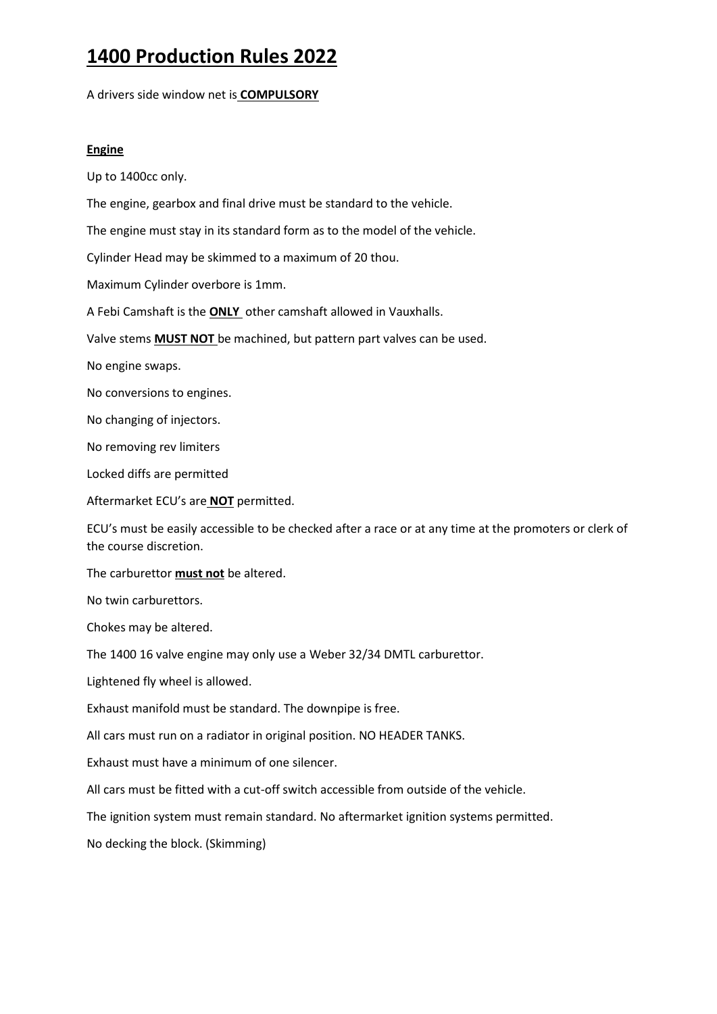A drivers side window net is **COMPULSORY**

### **Engine**

Up to 1400cc only.

The engine, gearbox and final drive must be standard to the vehicle.

The engine must stay in its standard form as to the model of the vehicle.

Cylinder Head may be skimmed to a maximum of 20 thou.

Maximum Cylinder overbore is 1mm.

A Febi Camshaft is the **ONLY** other camshaft allowed in Vauxhalls.

Valve stems **MUST NOT** be machined, but pattern part valves can be used.

No engine swaps.

No conversions to engines.

No changing of injectors.

No removing rev limiters

Locked diffs are permitted

Aftermarket ECU's are **NOT** permitted.

ECU's must be easily accessible to be checked after a race or at any time at the promoters or clerk of the course discretion.

The carburettor **must not** be altered.

No twin carburettors.

Chokes may be altered.

The 1400 16 valve engine may only use a Weber 32/34 DMTL carburettor.

Lightened fly wheel is allowed.

Exhaust manifold must be standard. The downpipe is free.

All cars must run on a radiator in original position. NO HEADER TANKS.

Exhaust must have a minimum of one silencer.

All cars must be fitted with a cut-off switch accessible from outside of the vehicle.

The ignition system must remain standard. No aftermarket ignition systems permitted.

No decking the block. (Skimming)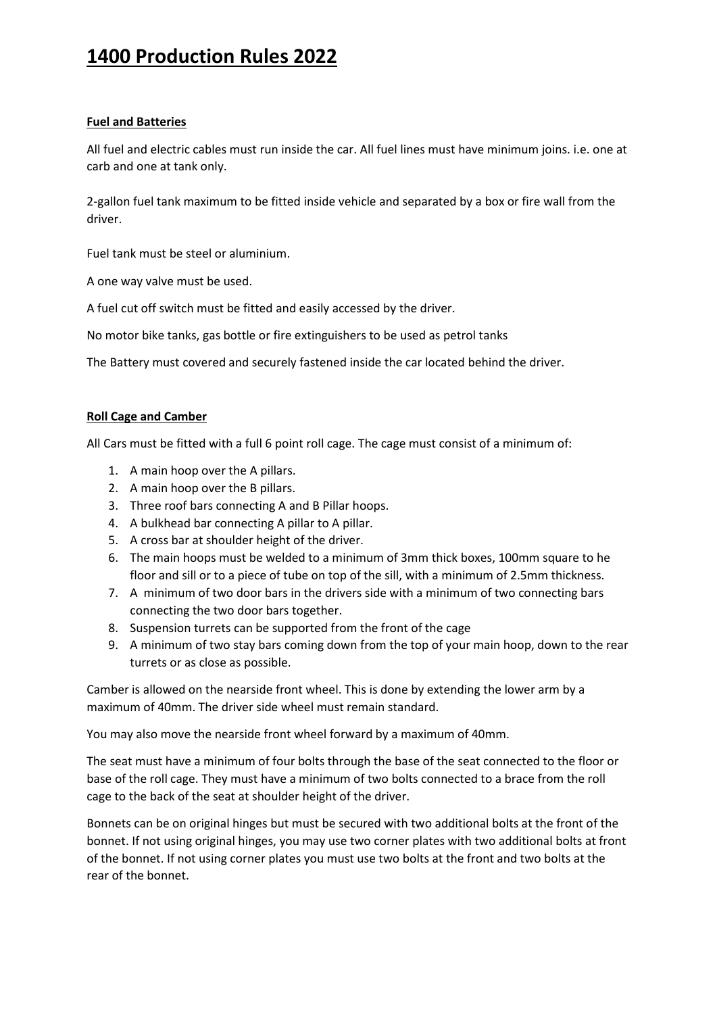### **Fuel and Batteries**

All fuel and electric cables must run inside the car. All fuel lines must have minimum joins. i.e. one at carb and one at tank only.

2-gallon fuel tank maximum to be fitted inside vehicle and separated by a box or fire wall from the driver.

Fuel tank must be steel or aluminium.

A one way valve must be used.

A fuel cut off switch must be fitted and easily accessed by the driver.

No motor bike tanks, gas bottle or fire extinguishers to be used as petrol tanks

The Battery must covered and securely fastened inside the car located behind the driver.

### **Roll Cage and Camber**

All Cars must be fitted with a full 6 point roll cage. The cage must consist of a minimum of:

- 1. A main hoop over the A pillars.
- 2. A main hoop over the B pillars.
- 3. Three roof bars connecting A and B Pillar hoops.
- 4. A bulkhead bar connecting A pillar to A pillar.
- 5. A cross bar at shoulder height of the driver.
- 6. The main hoops must be welded to a minimum of 3mm thick boxes, 100mm square to he floor and sill or to a piece of tube on top of the sill, with a minimum of 2.5mm thickness.
- 7. A minimum of two door bars in the drivers side with a minimum of two connecting bars connecting the two door bars together.
- 8. Suspension turrets can be supported from the front of the cage
- 9. A minimum of two stay bars coming down from the top of your main hoop, down to the rear turrets or as close as possible.

Camber is allowed on the nearside front wheel. This is done by extending the lower arm by a maximum of 40mm. The driver side wheel must remain standard.

You may also move the nearside front wheel forward by a maximum of 40mm.

The seat must have a minimum of four bolts through the base of the seat connected to the floor or base of the roll cage. They must have a minimum of two bolts connected to a brace from the roll cage to the back of the seat at shoulder height of the driver.

Bonnets can be on original hinges but must be secured with two additional bolts at the front of the bonnet. If not using original hinges, you may use two corner plates with two additional bolts at front of the bonnet. If not using corner plates you must use two bolts at the front and two bolts at the rear of the bonnet.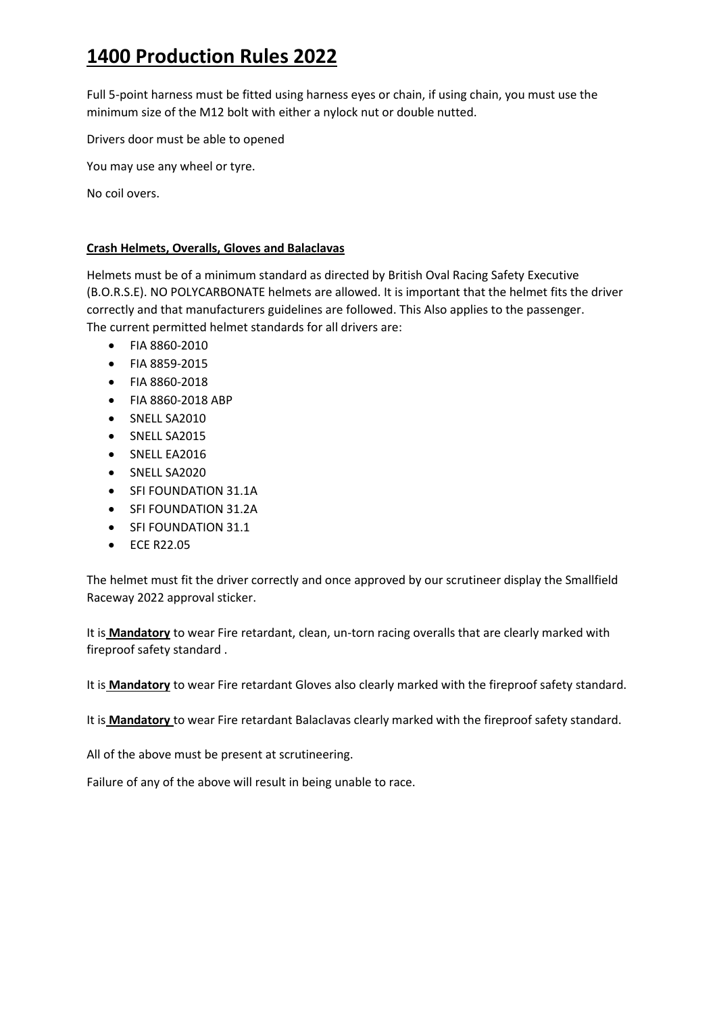Full 5-point harness must be fitted using harness eyes or chain, if using chain, you must use the minimum size of the M12 bolt with either a nylock nut or double nutted.

Drivers door must be able to opened

You may use any wheel or tyre.

No coil overs.

## **Crash Helmets, Overalls, Gloves and Balaclavas**

Helmets must be of a minimum standard as directed by British Oval Racing Safety Executive (B.O.R.S.E). NO POLYCARBONATE helmets are allowed. It is important that the helmet fits the driver correctly and that manufacturers guidelines are followed. This Also applies to the passenger. The current permitted helmet standards for all drivers are:

- FIA 8860-2010
- FIA 8859-2015
- FIA 8860-2018
- FIA 8860-2018 ABP
- SNELL SA2010
- SNELL SA2015
- SNELL EA2016
- SNELL SA2020
- SFI FOUNDATION 31.1A
- SFI FOUNDATION 31.2A
- SFI FOUNDATION 31.1
- ECE R22.05

The helmet must fit the driver correctly and once approved by our scrutineer display the Smallfield Raceway 2022 approval sticker.

It is **Mandatory** to wear Fire retardant, clean, un-torn racing overalls that are clearly marked with fireproof safety standard .

It is **Mandatory** to wear Fire retardant Gloves also clearly marked with the fireproof safety standard.

It is **Mandatory** to wear Fire retardant Balaclavas clearly marked with the fireproof safety standard.

All of the above must be present at scrutineering.

Failure of any of the above will result in being unable to race.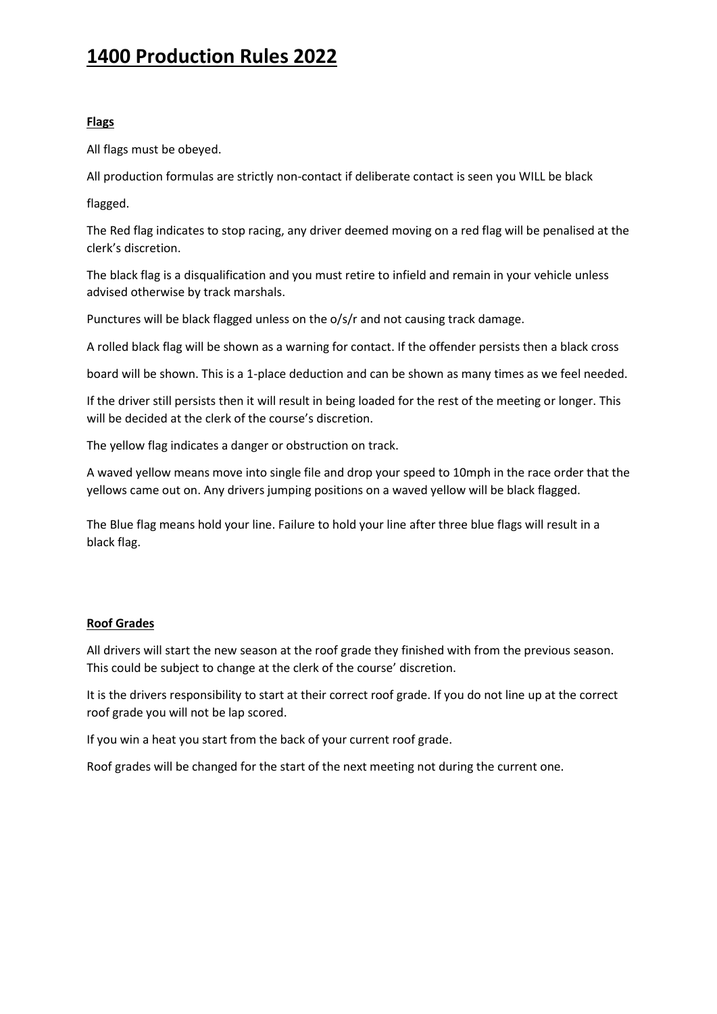### **Flags**

All flags must be obeyed.

All production formulas are strictly non-contact if deliberate contact is seen you WILL be black

flagged.

The Red flag indicates to stop racing, any driver deemed moving on a red flag will be penalised at the clerk's discretion.

The black flag is a disqualification and you must retire to infield and remain in your vehicle unless advised otherwise by track marshals.

Punctures will be black flagged unless on the o/s/r and not causing track damage.

A rolled black flag will be shown as a warning for contact. If the offender persists then a black cross

board will be shown. This is a 1-place deduction and can be shown as many times as we feel needed.

If the driver still persists then it will result in being loaded for the rest of the meeting or longer. This will be decided at the clerk of the course's discretion.

The yellow flag indicates a danger or obstruction on track.

A waved yellow means move into single file and drop your speed to 10mph in the race order that the yellows came out on. Any drivers jumping positions on a waved yellow will be black flagged.

The Blue flag means hold your line. Failure to hold your line after three blue flags will result in a black flag.

### **Roof Grades**

All drivers will start the new season at the roof grade they finished with from the previous season. This could be subject to change at the clerk of the course' discretion.

It is the drivers responsibility to start at their correct roof grade. If you do not line up at the correct roof grade you will not be lap scored.

If you win a heat you start from the back of your current roof grade.

Roof grades will be changed for the start of the next meeting not during the current one.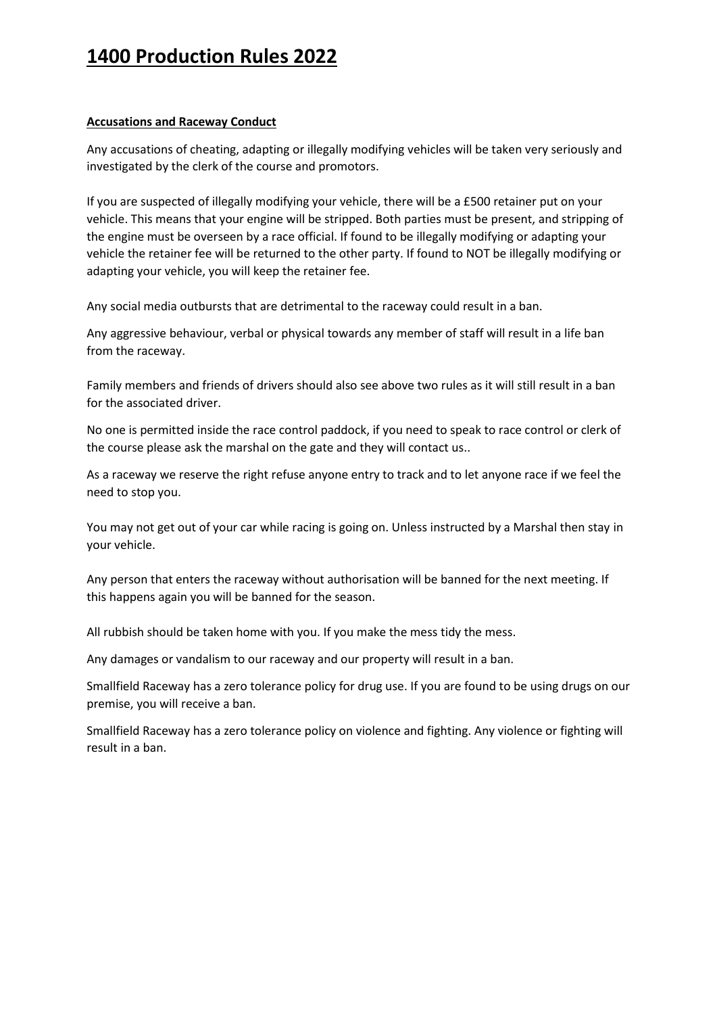### **Accusations and Raceway Conduct**

Any accusations of cheating, adapting or illegally modifying vehicles will be taken very seriously and investigated by the clerk of the course and promotors.

If you are suspected of illegally modifying your vehicle, there will be a £500 retainer put on your vehicle. This means that your engine will be stripped. Both parties must be present, and stripping of the engine must be overseen by a race official. If found to be illegally modifying or adapting your vehicle the retainer fee will be returned to the other party. If found to NOT be illegally modifying or adapting your vehicle, you will keep the retainer fee.

Any social media outbursts that are detrimental to the raceway could result in a ban.

Any aggressive behaviour, verbal or physical towards any member of staff will result in a life ban from the raceway.

Family members and friends of drivers should also see above two rules as it will still result in a ban for the associated driver.

No one is permitted inside the race control paddock, if you need to speak to race control or clerk of the course please ask the marshal on the gate and they will contact us..

As a raceway we reserve the right refuse anyone entry to track and to let anyone race if we feel the need to stop you.

You may not get out of your car while racing is going on. Unless instructed by a Marshal then stay in your vehicle.

Any person that enters the raceway without authorisation will be banned for the next meeting. If this happens again you will be banned for the season.

All rubbish should be taken home with you. If you make the mess tidy the mess.

Any damages or vandalism to our raceway and our property will result in a ban.

Smallfield Raceway has a zero tolerance policy for drug use. If you are found to be using drugs on our premise, you will receive a ban.

Smallfield Raceway has a zero tolerance policy on violence and fighting. Any violence or fighting will result in a ban.